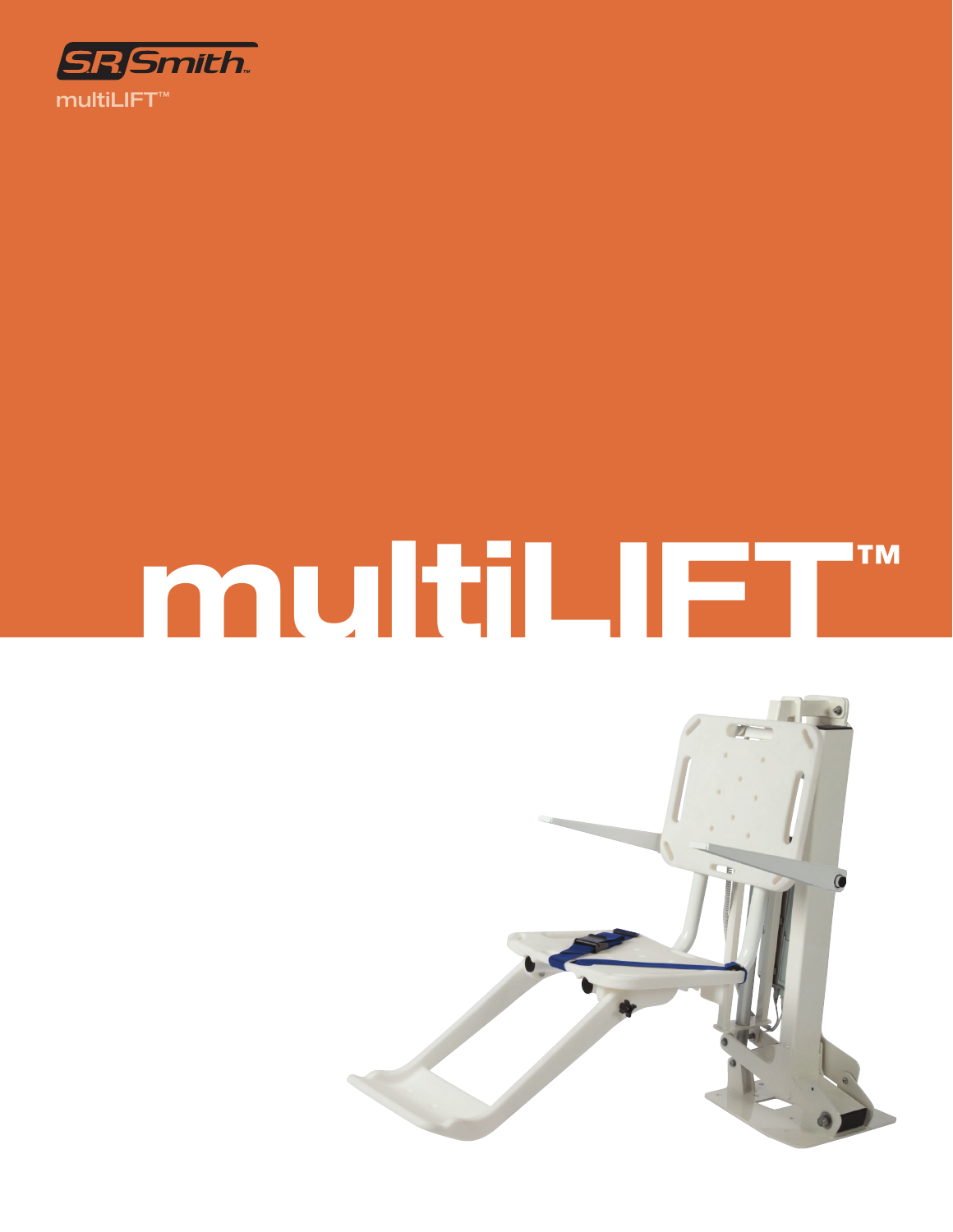

# **multiLIFT™**

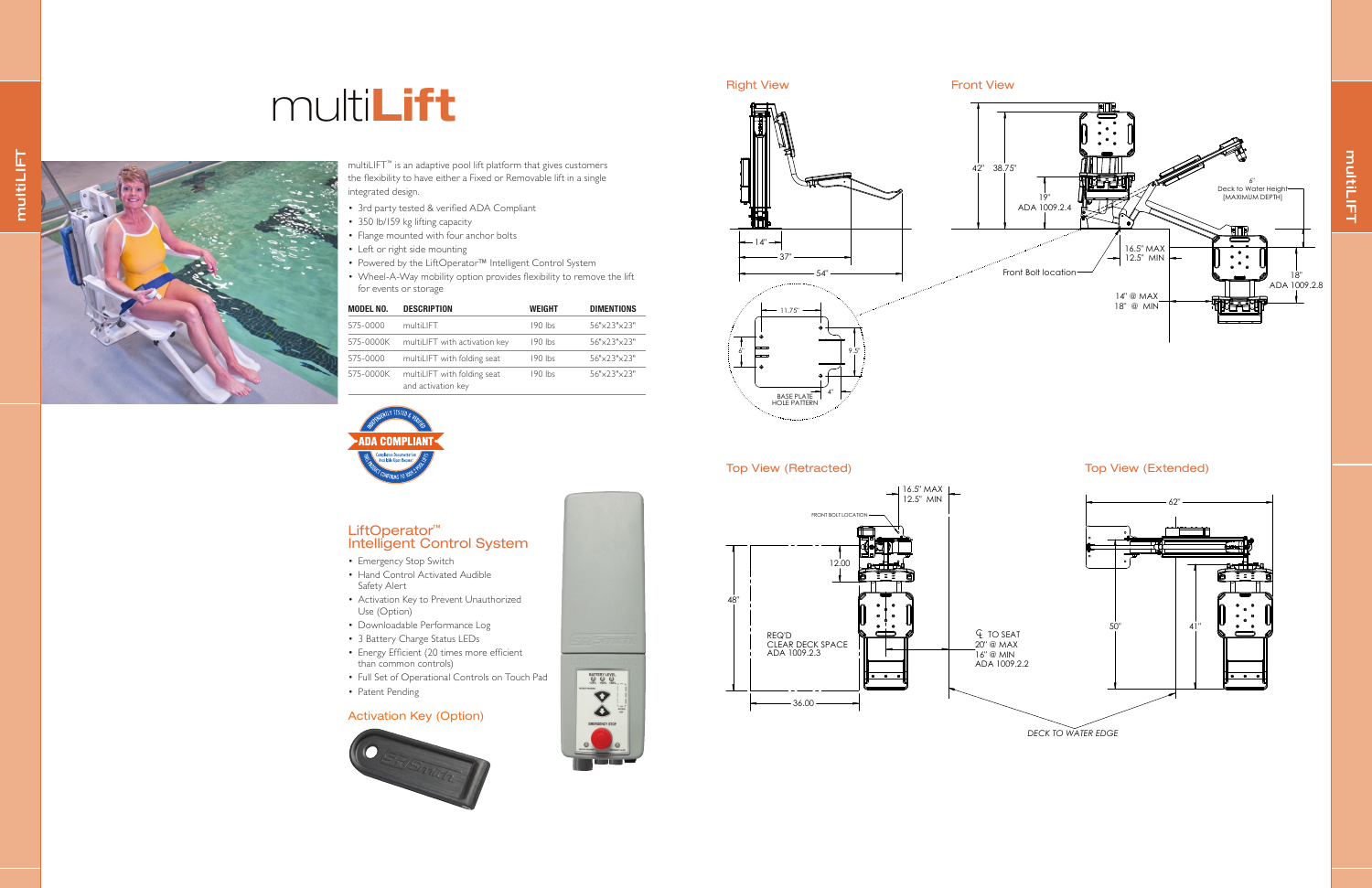multiLIFT multiLIFT

## multi**Lift**

- 3rd party tested & verified ADA Compliant
- 350 lb/159 kg lifting capacity
- Flange mounted with four anchor bolts
- Left or right side mounting
- Powered by the LiftOperator™ Intelligent Control System
- Wheel-A-Way mobility option provides flexibility to remove the lift for events or storage

multiLIFT™ is an adaptive pool lift platform that gives customers the flexibility to have either a Fixed or Removable lift in a single integrated design.

| <b>MODEL NO.</b> | <b>DESCRIPTION</b>                                | <b>WEIGHT</b> | <b>DIMENTIONS</b> |
|------------------|---------------------------------------------------|---------------|-------------------|
| 575-0000         | multiLIFT                                         | $190$ lbs     | 56"x23"x23"       |
| 575-0000K        | multiLIFT with activation key                     | 190 lbs       | 56"x23"x23"       |
| 575-0000         | multiLIFT with folding seat                       | $190$ lbs     | 56"x23"x23"       |
| 575-0000K        | multiLIFT with folding seat<br>and activation key | 190 lbs       | 56"x23"x23"       |



## $37"$  $-14^{\circ}$  —  $54"$ BASE PLATE 11.75"  $6''$   $9.5''$  $4"$ san<sub>tamanan manangguna</sub>ng





### Top View (Retracted) Top View (Extended)

#### LiftOperator™ Intelligent Control System

- Emergency Stop Switch
- Hand Control Activated Audible Safety Alert
- Activation Key to Prevent Unauthorized Use (Option)
- Downloadable Performance Log
- 3 Battery Charge Status LEDs
- Energy Efficient (20 times more efficient than common controls)
- Full Set of Operational Controls on Touch Pad
- Patent Pending

#### Activation Key (Option)